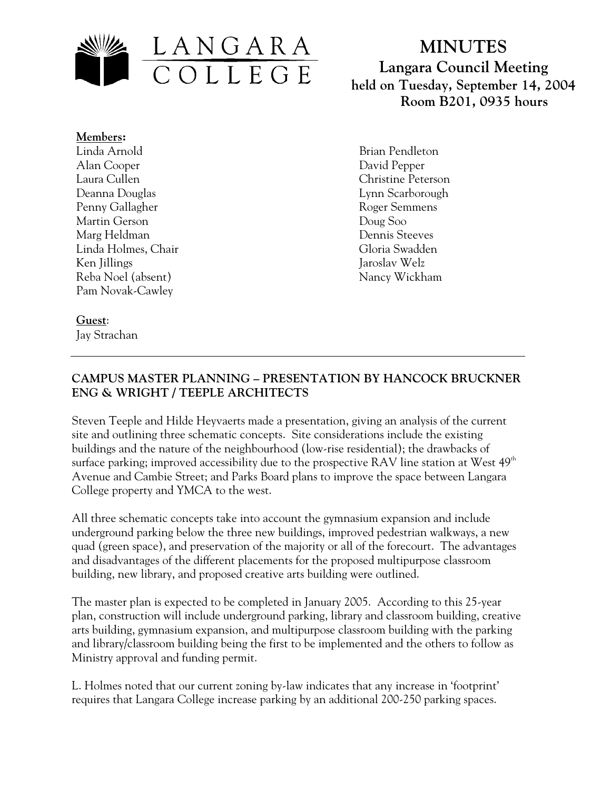

**MINUTES Langara Council Meeting held on Tuesday, September 14, 2004 Room B201, 0935 hours**

**Members:** Linda Arnold Alan Cooper Laura Cullen Deanna Douglas Penny Gallagher Martin Gerson Marg Heldman Linda Holmes, Chair Ken Jillings Reba Noel (absent) Pam Novak-Cawley

Brian Pendleton David Pepper Christine Peterson Lynn Scarborough Roger Semmens Doug Soo Dennis Steeves Gloria Swadden Jaroslav Welz Nancy Wickham

# **Guest**:

Jay Strachan

# **CAMPUS MASTER PLANNING – PRESENTATION BY HANCOCK BRUCKNER ENG & WRIGHT / TEEPLE ARCHITECTS**

Steven Teeple and Hilde Heyvaerts made a presentation, giving an analysis of the current site and outlining three schematic concepts. Site considerations include the existing buildings and the nature of the neighbourhood (low-rise residential); the drawbacks of surface parking; improved accessibility due to the prospective RAV line station at West  $49<sup>th</sup>$ Avenue and Cambie Street; and Parks Board plans to improve the space between Langara College property and YMCA to the west.

All three schematic concepts take into account the gymnasium expansion and include underground parking below the three new buildings, improved pedestrian walkways, a new quad (green space), and preservation of the majority or all of the forecourt. The advantages and disadvantages of the different placements for the proposed multipurpose classroom building, new library, and proposed creative arts building were outlined.

The master plan is expected to be completed in January 2005. According to this 25-year plan, construction will include underground parking, library and classroom building, creative arts building, gymnasium expansion, and multipurpose classroom building with the parking and library/classroom building being the first to be implemented and the others to follow as Ministry approval and funding permit.

L. Holmes noted that our current zoning by-law indicates that any increase in 'footprint' requires that Langara College increase parking by an additional 200-250 parking spaces.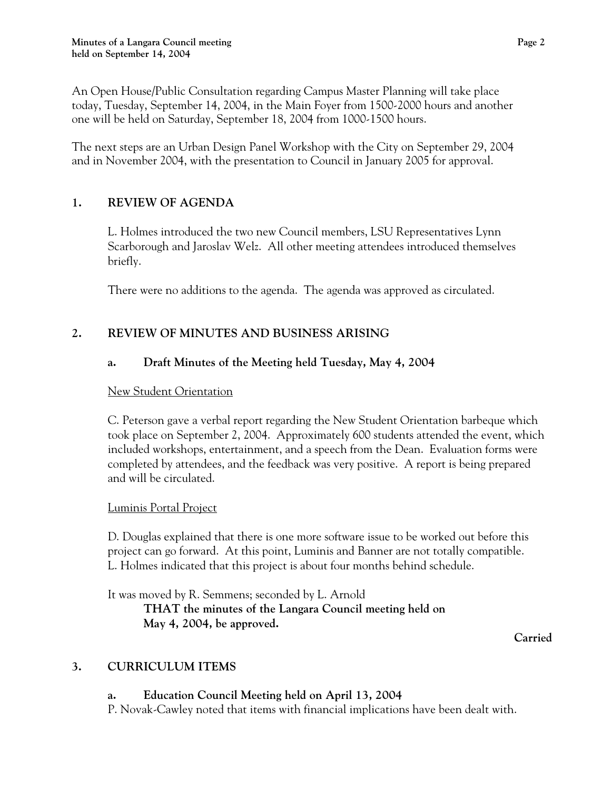An Open House/Public Consultation regarding Campus Master Planning will take place today, Tuesday, September 14, 2004, in the Main Foyer from 1500-2000 hours and another one will be held on Saturday, September 18, 2004 from 1000-1500 hours.

The next steps are an Urban Design Panel Workshop with the City on September 29, 2004 and in November 2004, with the presentation to Council in January 2005 for approval.

# **1. REVIEW OF AGENDA**

L. Holmes introduced the two new Council members, LSU Representatives Lynn Scarborough and Jaroslav Welz. All other meeting attendees introduced themselves briefly.

There were no additions to the agenda. The agenda was approved as circulated.

# **2. REVIEW OF MINUTES AND BUSINESS ARISING**

# **a. Draft Minutes of the Meeting held Tuesday, May 4, 2004**

#### New Student Orientation

C. Peterson gave a verbal report regarding the New Student Orientation barbeque which took place on September 2, 2004. Approximately 600 students attended the event, which included workshops, entertainment, and a speech from the Dean. Evaluation forms were completed by attendees, and the feedback was very positive. A report is being prepared and will be circulated.

# **Luminis Portal Project**

D. Douglas explained that there is one more software issue to be worked out before this project can go forward. At this point, Luminis and Banner are not totally compatible. L. Holmes indicated that this project is about four months behind schedule.

It was moved by R. Semmens; seconded by L. Arnold  **THAT the minutes of the Langara Council meeting held on May 4, 2004, be approved.** 

 **Carried** 

# **3. CURRICULUM ITEMS**

# **a. Education Council Meeting held on April 13, 2004**

P. Novak-Cawley noted that items with financial implications have been dealt with.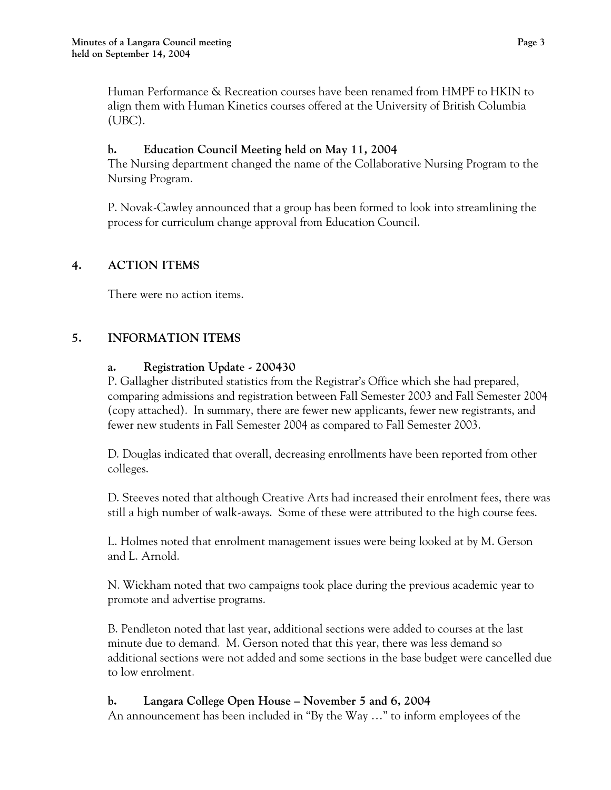Human Performance & Recreation courses have been renamed from HMPF to HKIN to align them with Human Kinetics courses offered at the University of British Columbia (UBC).

# **b. Education Council Meeting held on May 11, 2004**

The Nursing department changed the name of the Collaborative Nursing Program to the Nursing Program.

P. Novak-Cawley announced that a group has been formed to look into streamlining the process for curriculum change approval from Education Council.

# **4. ACTION ITEMS**

There were no action items.

# **5. INFORMATION ITEMS**

# **a. Registration Update - 200430**

P. Gallagher distributed statistics from the Registrar's Office which she had prepared, comparing admissions and registration between Fall Semester 2003 and Fall Semester 2004 (copy attached). In summary, there are fewer new applicants, fewer new registrants, and fewer new students in Fall Semester 2004 as compared to Fall Semester 2003.

D. Douglas indicated that overall, decreasing enrollments have been reported from other colleges.

D. Steeves noted that although Creative Arts had increased their enrolment fees, there was still a high number of walk-aways. Some of these were attributed to the high course fees.

L. Holmes noted that enrolment management issues were being looked at by M. Gerson and L. Arnold.

N. Wickham noted that two campaigns took place during the previous academic year to promote and advertise programs.

B. Pendleton noted that last year, additional sections were added to courses at the last minute due to demand. M. Gerson noted that this year, there was less demand so additional sections were not added and some sections in the base budget were cancelled due to low enrolment.

# **b. Langara College Open House – November 5 and 6, 2004**

An announcement has been included in "By the Way …" to inform employees of the